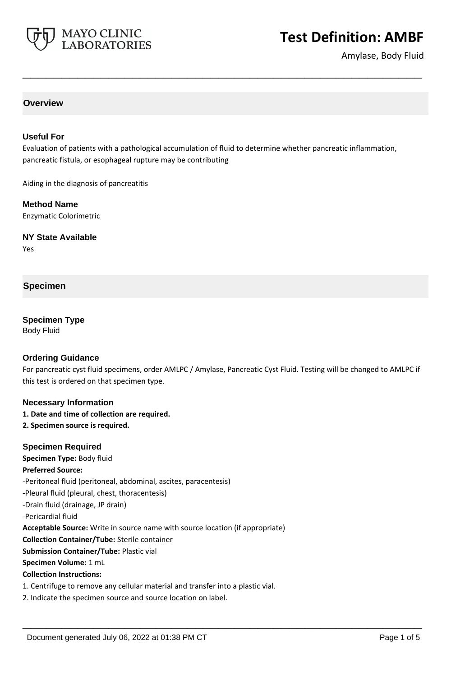

# **Test Definition: AMBF**

Amylase, Body Fluid

## **Overview**

### **Useful For**

Evaluation of patients with a pathological accumulation of fluid to determine whether pancreatic inflammation, pancreatic fistula, or esophageal rupture may be contributing

**\_\_\_\_\_\_\_\_\_\_\_\_\_\_\_\_\_\_\_\_\_\_\_\_\_\_\_\_\_\_\_\_\_\_\_\_\_\_\_\_\_\_\_\_\_\_\_\_\_\_\_**

Aiding in the diagnosis of pancreatitis

**Method Name** Enzymatic Colorimetric

**NY State Available** Yes

## **Specimen**

**Specimen Type** Body Fluid

#### **Ordering Guidance**

For pancreatic cyst fluid specimens, order AMLPC / Amylase, Pancreatic Cyst Fluid. Testing will be changed to AMLPC if this test is ordered on that specimen type.

**\_\_\_\_\_\_\_\_\_\_\_\_\_\_\_\_\_\_\_\_\_\_\_\_\_\_\_\_\_\_\_\_\_\_\_\_\_\_\_\_\_\_\_\_\_\_\_\_\_\_\_**

#### **Necessary Information**

- **1. Date and time of collection are required.**
- **2. Specimen source is required.**

#### **Specimen Required**

**Specimen Type:** Body fluid **Preferred Source:** -Peritoneal fluid (peritoneal, abdominal, ascites, paracentesis) -Pleural fluid (pleural, chest, thoracentesis) -Drain fluid (drainage, JP drain) -Pericardial fluid **Acceptable Source:** Write in source name with source location (if appropriate) **Collection Container/Tube:** Sterile container **Submission Container/Tube:** Plastic vial **Specimen Volume:** 1 mL **Collection Instructions:** 1. Centrifuge to remove any cellular material and transfer into a plastic vial.

2. Indicate the specimen source and source location on label.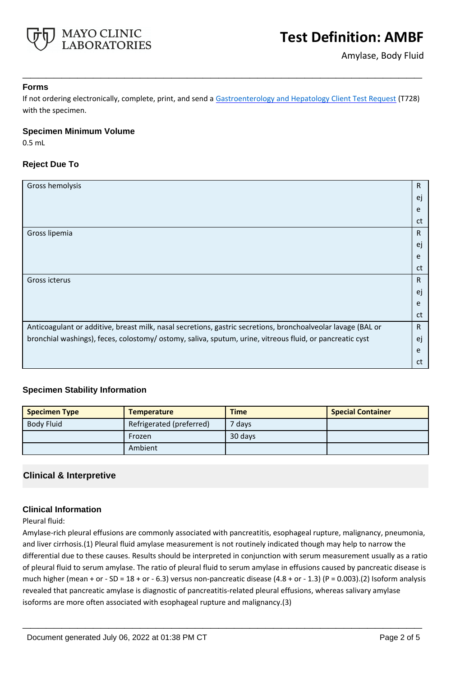

### **Forms**

If not ordering electronically, complete, print, and send a [Gastroenterology and Hepatology Client Test Request](https://www.mayocliniclabs.com/it-mmfiles/gastroenterology-and-hepatology-test-request.pdf) (T728) with the specimen.

**\_\_\_\_\_\_\_\_\_\_\_\_\_\_\_\_\_\_\_\_\_\_\_\_\_\_\_\_\_\_\_\_\_\_\_\_\_\_\_\_\_\_\_\_\_\_\_\_\_\_\_**

#### **Specimen Minimum Volume**

0.5 mL

# **Reject Due To**

| Gross hemolysis                                                                                              | R  |
|--------------------------------------------------------------------------------------------------------------|----|
|                                                                                                              | e  |
|                                                                                                              | e  |
|                                                                                                              | ct |
| Gross lipemia                                                                                                | R  |
|                                                                                                              | ej |
|                                                                                                              | e  |
|                                                                                                              | ct |
| Gross icterus                                                                                                | R. |
|                                                                                                              | e  |
|                                                                                                              | e  |
|                                                                                                              | ct |
| Anticoagulant or additive, breast milk, nasal secretions, gastric secretions, bronchoalveolar lavage (BAL or | R. |
| bronchial washings), feces, colostomy/ ostomy, saliva, sputum, urine, vitreous fluid, or pancreatic cyst     | ej |
|                                                                                                              | e  |
|                                                                                                              | ct |

# **Specimen Stability Information**

| <b>Specimen Type</b> | <b>Temperature</b>       | <b>Time</b> | <b>Special Container</b> |
|----------------------|--------------------------|-------------|--------------------------|
| <b>Body Fluid</b>    | Refrigerated (preferred) | 7 days      |                          |
|                      | Frozen                   | 30 days     |                          |
|                      | Ambient                  |             |                          |

# **Clinical & Interpretive**

#### **Clinical Information**

Pleural fluid:

Amylase-rich pleural effusions are commonly associated with pancreatitis, esophageal rupture, malignancy, pneumonia, and liver cirrhosis.(1) Pleural fluid amylase measurement is not routinely indicated though may help to narrow the differential due to these causes. Results should be interpreted in conjunction with serum measurement usually as a ratio of pleural fluid to serum amylase. The ratio of pleural fluid to serum amylase in effusions caused by pancreatic disease is much higher (mean + or - SD = 18 + or - 6.3) versus non-pancreatic disease  $(4.8 + or - 1.3)$  (P = 0.003).(2) Isoform analysis revealed that pancreatic amylase is diagnostic of pancreatitis-related pleural effusions, whereas salivary amylase isoforms are more often associated with esophageal rupture and malignancy.(3)

**\_\_\_\_\_\_\_\_\_\_\_\_\_\_\_\_\_\_\_\_\_\_\_\_\_\_\_\_\_\_\_\_\_\_\_\_\_\_\_\_\_\_\_\_\_\_\_\_\_\_\_**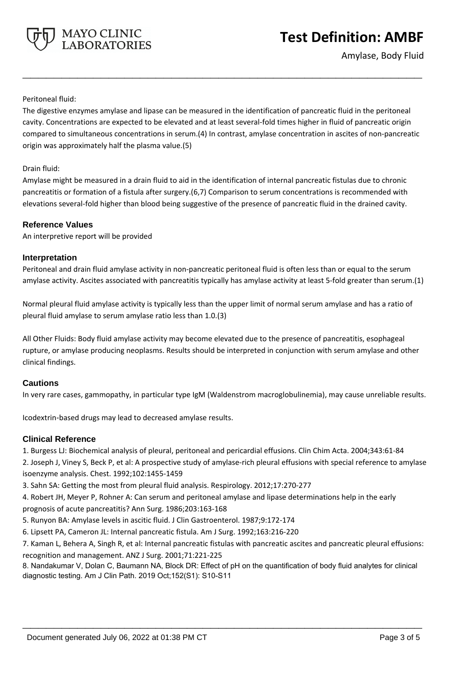

### Peritoneal fluid:

The digestive enzymes amylase and lipase can be measured in the identification of pancreatic fluid in the peritoneal cavity. Concentrations are expected to be elevated and at least several-fold times higher in fluid of pancreatic origin compared to simultaneous concentrations in serum.(4) In contrast, amylase concentration in ascites of non-pancreatic origin was approximately half the plasma value.(5)

**\_\_\_\_\_\_\_\_\_\_\_\_\_\_\_\_\_\_\_\_\_\_\_\_\_\_\_\_\_\_\_\_\_\_\_\_\_\_\_\_\_\_\_\_\_\_\_\_\_\_\_**

#### Drain fluid:

Amylase might be measured in a drain fluid to aid in the identification of internal pancreatic fistulas due to chronic pancreatitis or formation of a fistula after surgery.(6,7) Comparison to serum concentrations is recommended with elevations several-fold higher than blood being suggestive of the presence of pancreatic fluid in the drained cavity.

## **Reference Values**

An interpretive report will be provided

## **Interpretation**

Peritoneal and drain fluid amylase activity in non-pancreatic peritoneal fluid is often less than or equal to the serum amylase activity. Ascites associated with pancreatitis typically has amylase activity at least 5-fold greater than serum.(1)

Normal pleural fluid amylase activity is typically less than the upper limit of normal serum amylase and has a ratio of pleural fluid amylase to serum amylase ratio less than 1.0.(3)

All Other Fluids: Body fluid amylase activity may become elevated due to the presence of pancreatitis, esophageal rupture, or amylase producing neoplasms. Results should be interpreted in conjunction with serum amylase and other clinical findings.

#### **Cautions**

In very rare cases, gammopathy, in particular type IgM (Waldenstrom macroglobulinemia), may cause unreliable results.

Icodextrin-based drugs may lead to decreased amylase results.

#### **Clinical Reference**

1. Burgess LJ: Biochemical analysis of pleural, peritoneal and pericardial effusions. Clin Chim Acta. 2004;343:61-84

2. Joseph J, Viney S, Beck P, et al: A prospective study of amylase-rich pleural effusions with special reference to amylase isoenzyme analysis. Chest. 1992;102:1455-1459

3. Sahn SA: Getting the most from pleural fluid analysis. Respirology. 2012;17:270-277

4. Robert JH, Meyer P, Rohner A: Can serum and peritoneal amylase and lipase determinations help in the early

prognosis of acute pancreatitis? Ann Surg. 1986;203:163-168

5. Runyon BA: Amylase levels in ascitic fluid. J Clin Gastroenterol. 1987;9:172-174

6. Lipsett PA, Cameron JL: Internal pancreatic fistula. Am J Surg. 1992;163:216-220

7. Kaman L, Behera A, Singh R, et al: Internal pancreatic fistulas with pancreatic ascites and pancreatic pleural effusions: recognition and management. ANZ J Surg. 2001;71:221-225

8. Nandakumar V, Dolan C, Baumann NA, Block DR: Effect of pH on the quantification of body fluid analytes for clinical diagnostic testing. Am J Clin Path. 2019 Oct;152(S1): S10-S11

**\_\_\_\_\_\_\_\_\_\_\_\_\_\_\_\_\_\_\_\_\_\_\_\_\_\_\_\_\_\_\_\_\_\_\_\_\_\_\_\_\_\_\_\_\_\_\_\_\_\_\_**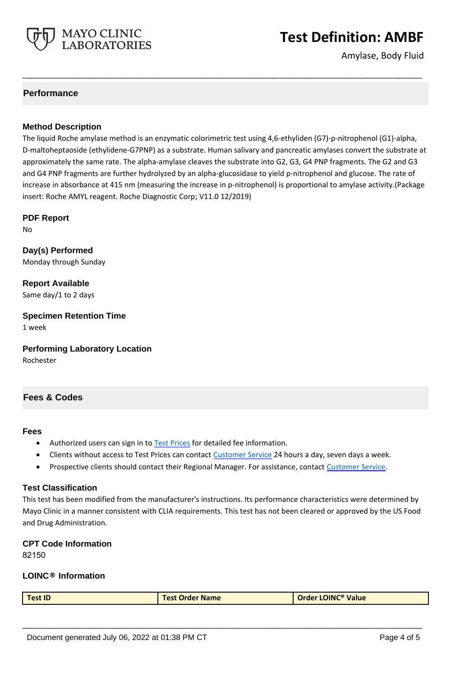

# **Test Definition: AMBF**

Amylase, Body Fluid

# **Performance**

#### **Method Description**

The liquid Roche amylase method is an enzymatic colorimetric test using 4,6-ethyliden (G7)-p-nitrophenol (G1)-alpha, D-maltoheptaoside (ethylidene-G7PNP) as a substrate. Human salivary and pancreatic amylases convert the substrate at approximately the same rate. The alpha-amylase cleaves the substrate into G2, G3, G4 PNP fragments. The G2 and G3 and G4 PNP fragments are further hydrolyzed by an alpha-glucosidase to yield p-nitrophenol and glucose. The rate of increase in absorbance at 415 nm (measuring the increase in p-nitrophenol) is proportional to amylase activity.(Package insert: Roche AMYL reagent. Roche Diagnostic Corp; V11.0 12/2019)

**\_\_\_\_\_\_\_\_\_\_\_\_\_\_\_\_\_\_\_\_\_\_\_\_\_\_\_\_\_\_\_\_\_\_\_\_\_\_\_\_\_\_\_\_\_\_\_\_\_\_\_**

**PDF Report**

No

**Day(s) Performed** Monday through Sunday

**Report Available** Same day/1 to 2 days

**Specimen Retention Time** 1 week

**Performing Laboratory Location** Rochester

#### **Fees & Codes**

#### **Fees**

- Authorized users can sign in to [Test Prices](https://www.mayocliniclabs.com/customer-service/client-price-lookup/index.html?unit_code=AMBF) for detailed fee information.
- Clients without access to Test Prices can contact [Customer Service](http://www.mayocliniclabs.com/customer-service/contacts.html) 24 hours a day, seven days a week.
- Prospective clients should contact their Regional Manager. For assistance, contact [Customer Service.](http://www.mayocliniclabs.com/customer-service/contacts.html)

#### **Test Classification**

This test has been modified from the manufacturer's instructions. Its performance characteristics were determined by Mayo Clinic in a manner consistent with CLIA requirements. This test has not been cleared or approved by the US Food and Drug Administration.

#### **CPT Code Information**

82150

#### **LOINC® Information**

| <b>Test ID</b> | <b>Test Order Name</b> | <b>Order LOINC<sup>®</sup> Value</b> |
|----------------|------------------------|--------------------------------------|
|                |                        |                                      |

**\_\_\_\_\_\_\_\_\_\_\_\_\_\_\_\_\_\_\_\_\_\_\_\_\_\_\_\_\_\_\_\_\_\_\_\_\_\_\_\_\_\_\_\_\_\_\_\_\_\_\_**